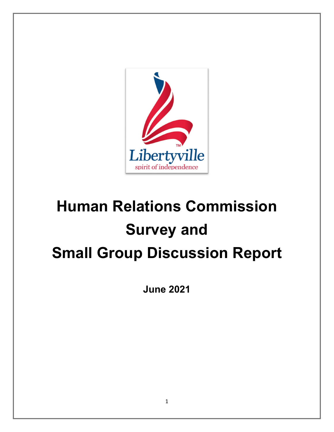

# **Human Relations Commission Survey and Small Group Discussion Report**

**June 2021**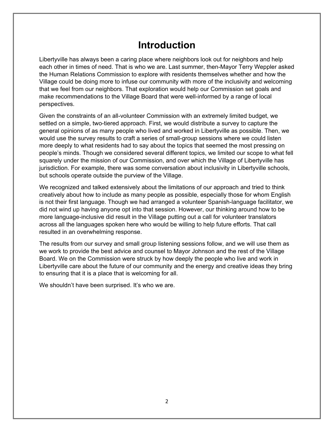# **Introduction**

Libertyville has always been a caring place where neighbors look out for neighbors and help each other in times of need. That is who we are. Last summer, then-Mayor Terry Weppler asked the Human Relations Commission to explore with residents themselves whether and how the Village could be doing more to infuse our community with more of the inclusivity and welcoming that we feel from our neighbors. That exploration would help our Commission set goals and make recommendations to the Village Board that were well-informed by a range of local perspectives.

Given the constraints of an all-volunteer Commission with an extremely limited budget, we settled on a simple, two-tiered approach. First, we would distribute a survey to capture the general opinions of as many people who lived and worked in Libertyville as possible. Then, we would use the survey results to craft a series of small-group sessions where we could listen more deeply to what residents had to say about the topics that seemed the most pressing on people's minds. Though we considered several different topics, we limited our scope to what fell squarely under the mission of our Commission, and over which the Village of Libertyville has jurisdiction. For example, there was some conversation about inclusivity in Libertyville schools, but schools operate outside the purview of the Village.

We recognized and talked extensively about the limitations of our approach and tried to think creatively about how to include as many people as possible, especially those for whom English is not their first language. Though we had arranged a volunteer Spanish-language facilitator, we did not wind up having anyone opt into that session. However, our thinking around how to be more language-inclusive did result in the Village putting out a call for volunteer translators across all the languages spoken here who would be willing to help future efforts. That call resulted in an overwhelming response.

The results from our survey and small group listening sessions follow, and we will use them as we work to provide the best advice and counsel to Mayor Johnson and the rest of the Village Board. We on the Commission were struck by how deeply the people who live and work in Libertyville care about the future of our community and the energy and creative ideas they bring to ensuring that it is a place that is welcoming for all.

We shouldn't have been surprised. It's who we are.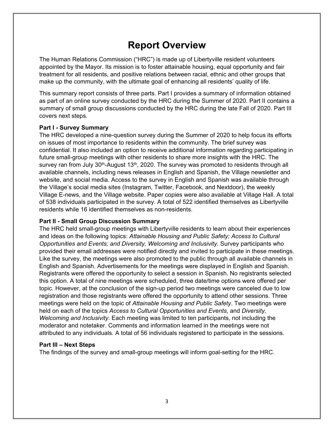# **Report Overview**

The Human Relations Commission ("HRC") is made up of Libertyville resident volunteers appointed by the Mayor. Its mission is to foster attainable housing, equal opportunity and fair treatment for all residents, and positive relations between racial, ethnic and other groups that make up the community, with the ultimate goal of enhancing all residents' quality of life.

This summary report consists of three parts. Part I provides a summary of information obtained as part of an online survey conducted by the HRC during the Summer of 2020. Part II contains a summary of small group discussions conducted by the HRC during the late Fall of 2020. Part III covers next steps.

#### **[Part I - Survey Summary](#page-3-0)**

The HRC developed a nine-question survey during the Summer of 2020 to help focus its efforts on issues of most importance to residents within the community. The brief survey was confidential. It also included an option to receive additional information regarding participating in future small-group meetings with other residents to share more insights with the HRC. The survey ran from July 30<sup>th</sup>-August 13<sup>th</sup>, 2020. The survey was promoted to residents through all available channels, including news releases in English and Spanish, the Village newsletter and website, and social media. Access to the survey in English and Spanish was available through the Village's social media sites (Instagram, Twitter, Facebook, and Nextdoor), the weekly Village E-news, and the Village website. Paper copies were also available at Village Hall. A total of 538 individuals participated in the survey. A total of 522 identified themselves as Libertyville residents while 16 identified themselves as non-residents.

#### **[Part II - Small Group Discussion Summary](#page-10-0)**

The HRC held small-group meetings with Libertyville residents to learn about their experiences and ideas on the following topics: *Attainable Housing and Public Safety; Access to Cultural Opportunities and Events; and Diversity, Welcoming and Inclusivity*. Survey participants who provided their email addresses were notified directly and invited to participate in these meetings. Like the survey, the meetings were also promoted to the public through all available channels in English and Spanish. Advertisements for the meetings were displayed in English and Spanish. Registrants were offered the opportunity to select a session in Spanish. No registrants selected this option. A total of nine meetings were scheduled, three date/time options were offered per topic. However, at the conclusion of the sign-up period two meetings were canceled due to low registration and those registrants were offered the opportunity to attend other sessions. Three meetings were held on the topic of *Attainable Housing and Public Safety*. Two meetings were held on each of the topics *Access to Cultural Opportunities and Events,* and *Diversity, Welcoming and Inclusivity*. Each meeting was limited to ten participants, not including the moderator and notetaker. Comments and information learned in the meetings were not attributed to any individuals. A total of 56 individuals registered to participate in the sessions.

#### **[Part III – Next Steps](#page-14-0)**

The findings of the survey and small-group meetings will inform goal-setting for the HRC.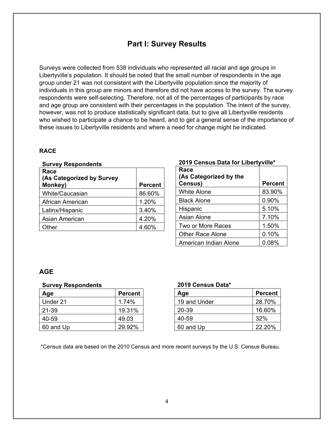### **Part I: Survey Results**

<span id="page-3-0"></span>Surveys were collected from 538 individuals who represented all racial and age groups in Libertyville's population. It should be noted that the small number of respondents in the age group under 21 was not consistent with the Libertyville population since the majority of individuals in this group are minors and therefore did not have access to the survey. The survey respondents were self-selecting. Therefore, not all of the percentages of participants by race and age group are consistent with their percentages in the population. The intent of the survey, however, was not to produce statistically significant data, but to give all Libertyville residents who wished to participate a chance to be heard, and to get a general sense of the importance of these issues to Libertyville residents and where a need for change might be indicated.

#### **RACE**

| Race<br>(As Categorized by Survey<br>Monkey) | <b>Percent</b> |
|----------------------------------------------|----------------|
| <b>White/Caucasian</b>                       | 86.60%         |
| African American                             | 1.20%          |
| Latinx/Hispanic                              | 3.40%          |
| Asian American                               | 4.20%          |
| :Dther                                       | 4.60%          |

# **2019 Census Data for Libertyville\***

| Race<br>(As Categorized by the |                |
|--------------------------------|----------------|
| Census)                        | <b>Percent</b> |
| <b>White Alone</b>             | 83.90%         |
| <b>Black Alone</b>             | 0.90%          |
| Hispanic                       | 5.10%          |
| <b>Asian Alone</b>             | 7.10%          |
| Two or More Races              | 1.50%          |
| <b>Other Race Alone</b>        | 0.10%          |
| American Indian Alone          | 0.08%          |

#### **AGE**

#### **Survey Respondents**

| Age       | <b>Percent</b> |
|-----------|----------------|
| Under 21  | 1.74%          |
| 21-39     | 19.31%         |
| 40-59     | 49.03          |
| 60 and Up | 29.92%         |

#### **2019 Census Data\***

| Age          | <b>Percent</b> |
|--------------|----------------|
| 19 and Under | 28.70%         |
| 20-39        | 16.60%         |
| 40-59        | 32%            |
| 60 and Up    | 22.20%         |

\*Census data are based on the 2010 Census and more recent surveys by the U.S. Census Bureau.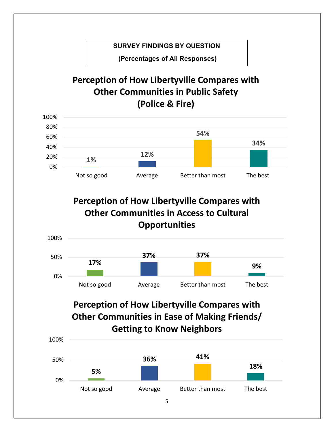### **SURVEY FINDINGS BY QUESTION**

 **(Percentages of All Responses)** 

# **Perception of How Libertyville Compares with Other Communities in Public Safety (Police & Fire)**



**Perception of How Libertyville Compares with Other Communities in Access to Cultural Opportunities**



# **Perception of How Libertyville Compares with Other Communities in Ease of Making Friends/ Getting to Know Neighbors**

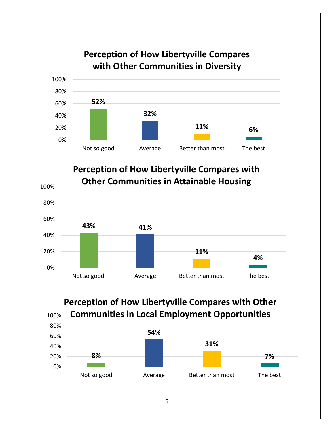

# **Perception of How Libertyville Compares with Other Communities in Diversity**

**Perception of How Libertyville Compares with Other Communities in Local Employment Opportunities**

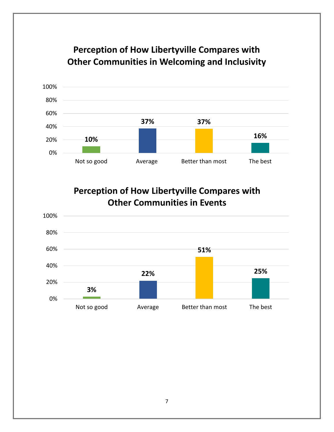# **Perception of How Libertyville Compares with Other Communities in Welcoming and Inclusivity**



**Perception of How Libertyville Compares with Other Communities in Events**

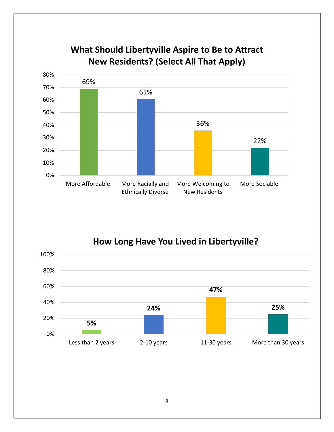

# **What Should Libertyville Aspire to Be to Attract New Residents? (Select All That Apply)**

**How Long Have You Lived in Libertyville?**

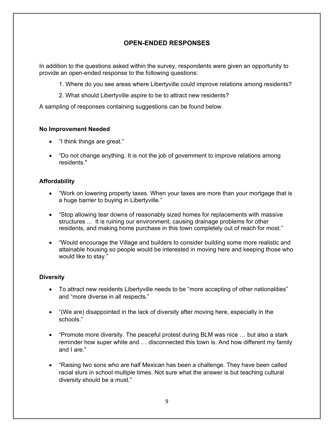#### **OPEN-ENDED RESPONSES**

In addition to the questions asked within the survey, respondents were given an opportunity to provide an open-ended response to the following questions:

- 1. Where do you see areas where Libertyville could improve relations among residents?
- 2. What should Libertyville aspire to be to attract new residents?

A sampling of responses containing suggestions can be found below.

#### **No Improvement Needed**

- "I think things are great."
- "Do not change anything. It is not the job of government to improve relations among residents."

#### **Affordability**

- "Work on lowering property taxes. When your taxes are more than your mortgage that is a huge barrier to buying in Libertyville."
- "Stop allowing tear downs of reasonably sized homes for replacements with massive structures ... It is ruining our environment, causing drainage problems for other residents, and making home purchase in this town completely out of reach for most."
- "Would encourage the Village and builders to consider building some more realistic and attainable housing so people would be interested in moving here and keeping those who would like to stay."

#### **Diversity**

- To attract new residents Libertyville needs to be "more accepting of other nationalities" and "more diverse in all respects."
- "(We are) disappointed in the lack of diversity after moving here, especially in the schools."
- "Promote more diversity. The peaceful protest during BLM was nice … but also a stark reminder how super white and … disconnected this town is. And how different my family and I are."
- "Raising two sons who are half Mexican has been a challenge. They have been called racial slurs in school multiple times. Not sure what the answer is but teaching cultural diversity should be a must."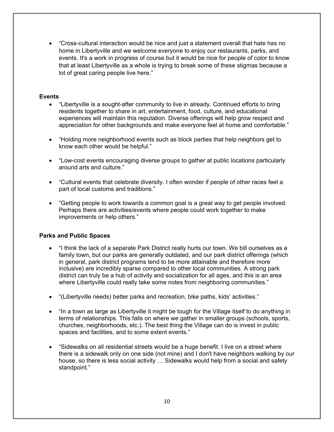"Cross-cultural interaction would be nice and just a statement overall that hate has no home in Libertyville and we welcome everyone to enjoy our restaurants, parks, and events. It's a work in progress of course but it would be nice for people of color to know that at least Libertyville as a whole is trying to break some of these stigmas because a lot of great caring people live here."

#### **Events**

- "Libertyville is a sought-after community to live in already. Continued efforts to bring residents together to share in art, entertainment, food, culture, and educational experiences will maintain this reputation. Diverse offerings will help grow respect and appreciation for other backgrounds and make everyone feel at home and comfortable."
- "Holding more neighborhood events such as block parties that help neighbors get to know each other would be helpful."
- "Low-cost events encouraging diverse groups to gather at public locations particularly around arts and culture."
- "Cultural events that celebrate diversity. I often wonder if people of other races feel a part of local customs and traditions."
- "Getting people to work towards a common goal is a great way to get people involved. Perhaps there are activities/events where people could work together to make improvements or help others."

#### **Parks and Public Spaces**

- "I think the lack of a separate Park District really hurts our town. We bill ourselves as a family town, but our parks are generally outdated, and our park district offerings (which in general, park district programs tend to be more attainable and therefore more inclusive) are incredibly sparse compared to other local communities. A strong park district can truly be a hub of activity and socialization for all ages, and this is an area where Libertyville could really take some notes from neighboring communities."
- "(Libertyville needs) better parks and recreation, bike paths, kids' activities."
- "In a town as large as Libertyville it might be tough for the Village itself to do anything in terms of relationships. This falls on where we gather in smaller groups (schools, sports, churches, neighborhoods, etc.). The best thing the Village can do is invest in public spaces and facilities, and to some extent events."
- "Sidewalks on all residential streets would be a huge benefit. I live on a street where there is a sidewalk only on one side (not mine) and I don't have neighbors walking by our house, so there is less social activity … Sidewalks would help from a social and safety standpoint."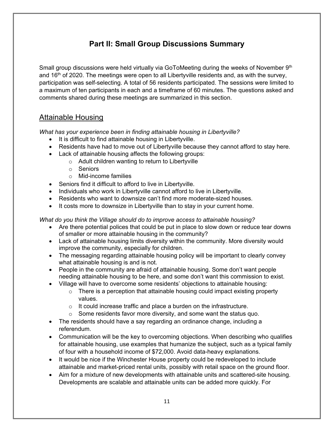# **Part II: Small Group Discussions Summary**

<span id="page-10-0"></span>Small group discussions were held virtually via GoToMeeting during the weeks of November 9<sup>th</sup> and  $16<sup>th</sup>$  of 2020. The meetings were open to all Libertyville residents and, as with the survey, participation was self-selecting. A total of 56 residents participated. The sessions were limited to a maximum of ten participants in each and a timeframe of 60 minutes. The questions asked and comments shared during these meetings are summarized in this section.

### Attainable Housing

*What has your experience been in finding attainable housing in Libertyville?* 

- It is difficult to find attainable housing in Libertyville.
- Residents have had to move out of Libertyville because they cannot afford to stay here.
- Lack of attainable housing affects the following groups:
	- o Adult children wanting to return to Libertyville
	- o Seniors
	- o Mid-income families
- Seniors find it difficult to afford to live in Libertyville.
- Individuals who work in Libertyville cannot afford to live in Libertyville.
- Residents who want to downsize can't find more moderate-sized houses.
- It costs more to downsize in Libertyville than to stay in your current home.

*What do you think the Village should do to improve access to attainable housing?* 

- Are there potential polices that could be put in place to slow down or reduce tear downs of smaller or more attainable housing in the community?
- Lack of attainable housing limits diversity within the community. More diversity would improve the community, especially for children.
- The messaging regarding attainable housing policy will be important to clearly convey what attainable housing is and is not.
- People in the community are afraid of attainable housing. Some don't want people needing attainable housing to be here, and some don't want this commission to exist.
- Village will have to overcome some residents' objections to attainable housing:
	- $\circ$  There is a perception that attainable housing could impact existing property values.
	- $\circ$  It could increase traffic and place a burden on the infrastructure.
	- $\circ$  Some residents favor more diversity, and some want the status quo.
- The residents should have a say regarding an ordinance change, including a referendum.
- Communication will be the key to overcoming objections. When describing who qualifies for attainable housing, use examples that humanize the subject, such as a typical family of four with a household income of \$72,000. Avoid data-heavy explanations.
- It would be nice if the Winchester House property could be redeveloped to include attainable and market-priced rental units, possibly with retail space on the ground floor.
- Aim for a mixture of new developments with attainable units and scattered-site housing. Developments are scalable and attainable units can be added more quickly. For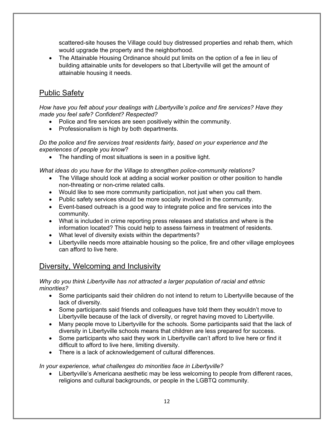scattered-site houses the Village could buy distressed properties and rehab them, which would upgrade the property and the neighborhood.

 The Attainable Housing Ordinance should put limits on the option of a fee in lieu of building attainable units for developers so that Libertyville will get the amount of attainable housing it needs.

### Public Safety

*How have you felt about your dealings with Libertyville's police and fire services? Have they made you feel safe? Confident? Respected?* 

- Police and fire services are seen positively within the community.
- Professionalism is high by both departments.

*Do the police and fire services treat residents fairly, based on your experience and the experiences of people you know*?

• The handling of most situations is seen in a positive light.

*What ideas do you have for the Village to strengthen police-community relations?* 

- The Village should look at adding a social worker position or other position to handle non-threating or non-crime related calls.
- Would like to see more community participation, not just when you call them.
- Public safety services should be more socially involved in the community.
- Event-based outreach is a good way to integrate police and fire services into the community.
- What is included in crime reporting press releases and statistics and where is the information located? This could help to assess fairness in treatment of residents.
- What level of diversity exists within the departments?
- Libertyville needs more attainable housing so the police, fire and other village employees can afford to live here.

### Diversity, Welcoming and Inclusivity

#### *Why do you think Libertyville has not attracted a larger population of racial and ethnic minorities?*

- Some participants said their children do not intend to return to Libertyville because of the lack of diversity.
- Some participants said friends and colleagues have told them they wouldn't move to Libertyville because of the lack of diversity, or regret having moved to Libertyville.
- Many people move to Libertyville for the schools. Some participants said that the lack of diversity in Libertyville schools means that children are less prepared for success.
- Some participants who said they work in Libertyville can't afford to live here or find it difficult to afford to live here, limiting diversity.
- There is a lack of acknowledgement of cultural differences.

#### *In your experience, what challenges do minorities face in Libertyville?*

 Libertyville's Americana aesthetic may be less welcoming to people from different races, religions and cultural backgrounds, or people in the LGBTQ community.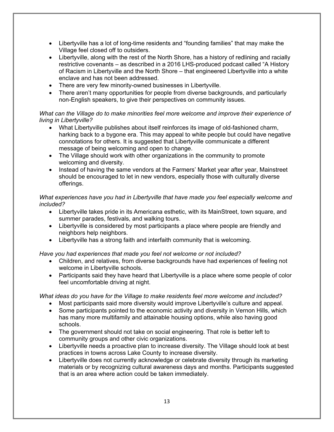- Libertyville has a lot of long-time residents and "founding families" that may make the Village feel closed off to outsiders.
- Libertyville, along with the rest of the North Shore, has a history of redlining and racially restrictive covenants – as described in a 2016 LHS-produced podcast called "A History of Racism in Libertyville and the North Shore – that engineered Libertyville into a white enclave and has not been addressed.
- There are very few minority-owned businesses in Libertyville.
- There aren't many opportunities for people from diverse backgrounds, and particularly non-English speakers, to give their perspectives on community issues.

#### *What can the Village do to make minorities feel more welcome and improve their experience of living in Libertyville?*

- What Libertyville publishes about itself reinforces its image of old-fashioned charm, harking back to a bygone era. This may appeal to white people but could have negative connotations for others. It is suggested that Libertyville communicate a different message of being welcoming and open to change.
- The Village should work with other organizations in the community to promote welcoming and diversity.
- Instead of having the same vendors at the Farmers' Market year after year, Mainstreet should be encouraged to let in new vendors, especially those with culturally diverse offerings.

#### *What experiences have you had in Libertyville that have made you feel especially welcome and included?*

- Libertyville takes pride in its Americana esthetic, with its MainStreet, town square, and summer parades, festivals, and walking tours.
- Libertyville is considered by most participants a place where people are friendly and neighbors help neighbors.
- Libertyville has a strong faith and interfaith community that is welcoming.

#### *Have you had experiences that made you feel not welcome or not included?*

- Children, and relatives, from diverse backgrounds have had experiences of feeling not welcome in Libertyville schools.
- Participants said they have heard that Libertyville is a place where some people of color feel uncomfortable driving at night.

*What ideas do you have for the Village to make residents feel more welcome and included?* 

- Most participants said more diversity would improve Libertyville's culture and appeal.
- Some participants pointed to the economic activity and diversity in Vernon Hills, which has many more multifamily and attainable housing options, while also having good schools.
- The government should not take on social engineering. That role is better left to community groups and other civic organizations.
- Libertyville needs a proactive plan to increase diversity. The Village should look at best practices in towns across Lake County to increase diversity.
- Libertyville does not currently acknowledge or celebrate diversity through its marketing materials or by recognizing cultural awareness days and months. Participants suggested that is an area where action could be taken immediately.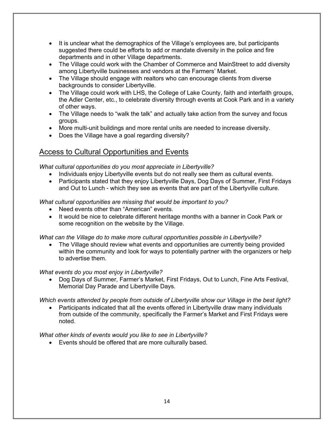- It is unclear what the demographics of the Village's employees are, but participants suggested there could be efforts to add or mandate diversity in the police and fire departments and in other Village departments.
- The Village could work with the Chamber of Commerce and MainStreet to add diversity among Libertyville businesses and vendors at the Farmers' Market.
- The Village should engage with realtors who can encourage clients from diverse backgrounds to consider Libertyville.
- The Village could work with LHS, the College of Lake County, faith and interfaith groups, the Adler Center, etc., to celebrate diversity through events at Cook Park and in a variety of other ways.
- The Village needs to "walk the talk" and actually take action from the survey and focus groups.
- More multi-unit buildings and more rental units are needed to increase diversity.
- Does the Village have a goal regarding diversity?

### Access to Cultural Opportunities and Events

*What cultural opportunities do you most appreciate in Libertyville?* 

- Individuals enjoy Libertyville events but do not really see them as cultural events.
- Participants stated that they enjoy Libertyville Days, Dog Days of Summer, First Fridays and Out to Lunch - which they see as events that are part of the Libertyville culture.

*What cultural opportunities are missing that would be important to you?* 

- Need events other than "American" events.
- It would be nice to celebrate different heritage months with a banner in Cook Park or some recognition on the website by the Village.

#### *What can the Village do to make more cultural opportunities possible in Libertyville?*

 The Village should review what events and opportunities are currently being provided within the community and look for ways to potentially partner with the organizers or help to advertise them.

#### *What events do you most enjoy in Libertyville?*

 Dog Days of Summer, Farmer's Market, First Fridays, Out to Lunch, Fine Arts Festival, Memorial Day Parade and Libertyville Days.

*Which events attended by people from outside of Libertyville show our Village in the best light?* 

 Participants indicated that all the events offered in Libertyville draw many individuals from outside of the community, specifically the Farmer's Market and First Fridays were noted.

*What other kinds of events would you like to see in Libertyville?* 

Events should be offered that are more culturally based.